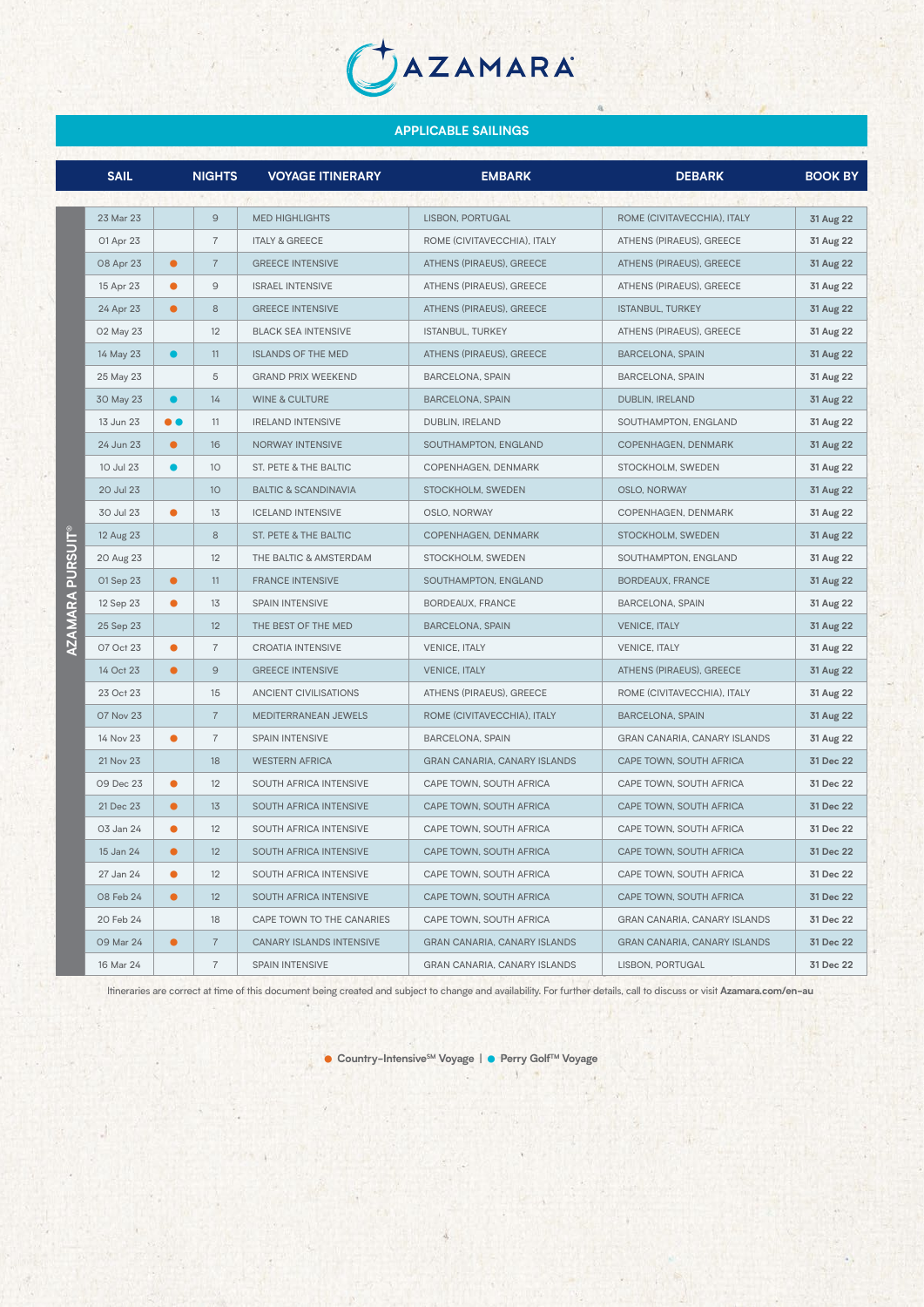JAZAMARA

|                | <b>SAIL</b> |           | <b>NIGHTS</b>   | <b>VOYAGE ITINERARY</b>         | <b>EMBARK</b>                       | <b>DEBARK</b>                       | <b>BOOK BY</b> |
|----------------|-------------|-----------|-----------------|---------------------------------|-------------------------------------|-------------------------------------|----------------|
|                |             |           |                 |                                 |                                     |                                     |                |
|                | 23 Mar 23   |           | $\overline{9}$  | <b>MED HIGHLIGHTS</b>           | LISBON, PORTUGAL                    | ROME (CIVITAVECCHIA), ITALY         | 31 Aug 22      |
|                | 01 Apr 23   |           | $\overline{7}$  | <b>ITALY &amp; GREECE</b>       | ROME (CIVITAVECCHIA), ITALY         | ATHENS (PIRAEUS), GREECE            | 31 Aug 22      |
|                | 08 Apr 23   | $\bullet$ | $\overline{7}$  | <b>GREECE INTENSIVE</b>         | ATHENS (PIRAEUS), GREECE            | ATHENS (PIRAEUS), GREECE            | 31 Aug 22      |
|                | 15 Apr 23   | $\bullet$ | 9               | <b>ISRAEL INTENSIVE</b>         | ATHENS (PIRAEUS), GREECE            | ATHENS (PIRAEUS), GREECE            | 31 Aug 22      |
|                | 24 Apr 23   | $\bullet$ | 8               | <b>GREECE INTENSIVE</b>         | ATHENS (PIRAEUS), GREECE            | <b>ISTANBUL, TURKEY</b>             | 31 Aug 22      |
|                | 02 May 23   |           | 12              | <b>BLACK SEA INTENSIVE</b>      | <b>ISTANBUL, TURKEY</b>             | ATHENS (PIRAEUS), GREECE            | 31 Aug 22      |
|                | 14 May 23   | $\bullet$ | 11              | <b>ISLANDS OF THE MED</b>       | ATHENS (PIRAEUS), GREECE            | <b>BARCELONA, SPAIN</b>             | 31 Aug 22      |
|                | 25 May 23   |           | 5               | <b>GRAND PRIX WEEKEND</b>       | <b>BARCELONA, SPAIN</b>             | <b>BARCELONA, SPAIN</b>             | 31 Aug 22      |
|                | 30 May 23   | $\bullet$ | 14              | <b>WINE &amp; CULTURE</b>       | <b>BARCELONA, SPAIN</b>             | DUBLIN, IRELAND                     | 31 Aug 22      |
|                | 13 Jun 23   | $\bullet$ | 11              | <b>IRELAND INTENSIVE</b>        | DUBLIN, IRELAND                     | SOUTHAMPTON, ENGLAND                | 31 Aug 22      |
|                | 24 Jun 23   | $\bullet$ | 16              | <b>NORWAY INTENSIVE</b>         | SOUTHAMPTON, ENGLAND                | COPENHAGEN, DENMARK                 | 31 Aug 22      |
|                | 10 Jul 23   |           | 10              | ST. PETE & THE BALTIC           | COPENHAGEN, DENMARK                 | STOCKHOLM, SWEDEN                   | 31 Aug 22      |
|                | 20 Jul 23   |           | 10              | <b>BALTIC &amp; SCANDINAVIA</b> | STOCKHOLM, SWEDEN                   | <b>OSLO, NORWAY</b>                 | 31 Aug 22      |
|                | 30 Jul 23   | $\bullet$ | 13              | <b>ICELAND INTENSIVE</b>        | OSLO, NORWAY                        | COPENHAGEN, DENMARK                 | 31 Aug 22      |
|                | 12 Aug 23   |           | 8               | ST. PETE & THE BALTIC           | COPENHAGEN, DENMARK                 | STOCKHOLM, SWEDEN                   | 31 Aug 22      |
| RSUI           | 20 Aug 23   |           | 12              | THE BALTIC & AMSTERDAM          | STOCKHOLM, SWEDEN                   | SOUTHAMPTON, ENGLAND                | 31 Aug 22      |
| $\overline{a}$ | 01 Sep 23   | $\bullet$ | 11              | <b>FRANCE INTENSIVE</b>         | SOUTHAMPTON, ENGLAND                | <b>BORDEAUX, FRANCE</b>             | 31 Aug 22      |
|                | 12 Sep 23   | $\bullet$ | 13              | <b>SPAIN INTENSIVE</b>          | BORDEAUX, FRANCE                    | <b>BARCELONA, SPAIN</b>             | 31 Aug 22      |
| AMARA          | 25 Sep 23   |           | 12              | THE BEST OF THE MED             | <b>BARCELONA, SPAIN</b>             | <b>VENICE, ITALY</b>                | 31 Aug 22      |
|                | 07 Oct 23   | $\bullet$ | $\overline{7}$  | <b>CROATIA INTENSIVE</b>        | <b>VENICE, ITALY</b>                | <b>VENICE, ITALY</b>                | 31 Aug 22      |
|                | 14 Oct 23   | $\bullet$ | $\mathsf{9}$    | <b>GREECE INTENSIVE</b>         | <b>VENICE, ITALY</b>                | ATHENS (PIRAEUS), GREECE            | 31 Aug 22      |
|                | 23 Oct 23   |           | 15              | <b>ANCIENT CIVILISATIONS</b>    | ATHENS (PIRAEUS), GREECE            | ROME (CIVITAVECCHIA), ITALY         | 31 Aug 22      |
|                | 07 Nov 23   |           | $\overline{7}$  | MEDITERRANEAN JEWELS            | ROME (CIVITAVECCHIA), ITALY         | <b>BARCELONA, SPAIN</b>             | 31 Aug 22      |
|                | 14 Nov 23   |           | $\overline{7}$  | SPAIN INTENSIVE                 | <b>BARCELONA, SPAIN</b>             | GRAN CANARIA, CANARY ISLANDS        | 31 Aug 22      |
|                | 21 Nov 23   |           | 18              | <b>WESTERN AFRICA</b>           | <b>GRAN CANARIA, CANARY ISLANDS</b> | CAPE TOWN, SOUTH AFRICA             | 31 Dec 22      |
|                | 09 Dec 23   | $\bullet$ | 12              | SOUTH AFRICA INTENSIVE          | CAPE TOWN, SOUTH AFRICA             | CAPE TOWN, SOUTH AFRICA             | 31 Dec 22      |
|                | 21 Dec 23   | $\bullet$ | 13              | SOUTH AFRICA INTENSIVE          | CAPE TOWN, SOUTH AFRICA             | CAPE TOWN, SOUTH AFRICA             | 31 Dec 22      |
|                | 03 Jan 24   |           | 12              | SOUTH AFRICA INTENSIVE          | CAPE TOWN, SOUTH AFRICA             | CAPE TOWN, SOUTH AFRICA             | 31 Dec 22      |
|                | 15 Jan 24   |           | 12              | SOUTH AFRICA INTENSIVE          | CAPE TOWN, SOUTH AFRICA             | CAPE TOWN, SOUTH AFRICA             | 31 Dec 22      |
|                | 27 Jan 24   | $\bullet$ | 12              | SOUTH AFRICA INTENSIVE          | CAPE TOWN, SOUTH AFRICA             | CAPE TOWN, SOUTH AFRICA             | 31 Dec 22      |
|                | 08 Feb 24   | $\bullet$ | 12 <sup>°</sup> | SOUTH AFRICA INTENSIVE          | CAPE TOWN, SOUTH AFRICA             | CAPE TOWN, SOUTH AFRICA             | 31 Dec 22      |
|                | 20 Feb 24   |           | 18              | CAPE TOWN TO THE CANARIES       | CAPE TOWN, SOUTH AFRICA             | <b>GRAN CANARIA, CANARY ISLANDS</b> | 31 Dec 22      |
|                | 09 Mar 24   | $\bullet$ | $\overline{7}$  | <b>CANARY ISLANDS INTENSIVE</b> | <b>GRAN CANARIA, CANARY ISLANDS</b> | <b>GRAN CANARIA, CANARY ISLANDS</b> | 31 Dec 22      |
|                | 16 Mar 24   |           | $\overline{7}$  | SPAIN INTENSIVE                 | <b>GRAN CANARIA, CANARY ISLANDS</b> | LISBON, PORTUGAL                    | 31 Dec 22      |

Itineraries are correct at time of this document being created and subject to change and availability. For further details, call to discuss or visit **Azamara.com/en-au**

● Country-Intensive<sup>SM</sup> Voyage | ● Perry Golf™ Voyage

 $\rightarrow$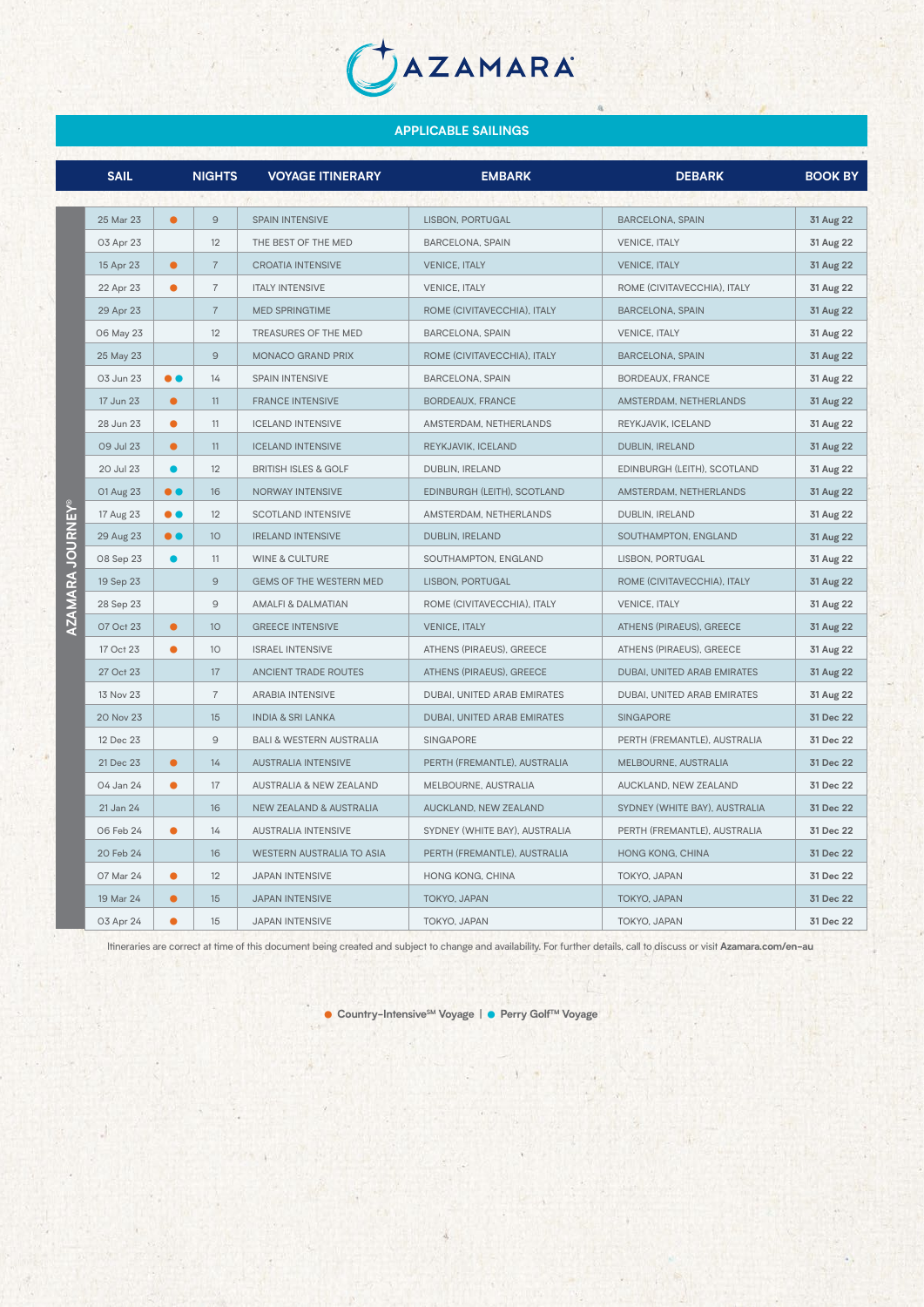JAZAMARA

|                       | <b>SAIL</b> |                  | <b>NIGHTS</b>   | <b>VOYAGE ITINERARY</b>             | <b>EMBARK</b>                 | <b>DEBARK</b>                 | <b>BOOK BY</b> |
|-----------------------|-------------|------------------|-----------------|-------------------------------------|-------------------------------|-------------------------------|----------------|
|                       |             |                  |                 |                                     |                               |                               |                |
|                       | 25 Mar 23   | $\bullet$        | $\overline{9}$  | <b>SPAIN INTENSIVE</b>              | LISBON, PORTUGAL              | <b>BARCELONA, SPAIN</b>       | 31 Aug 22      |
|                       | 03 Apr 23   |                  | 12              | THE BEST OF THE MED                 | <b>BARCELONA, SPAIN</b>       | <b>VENICE, ITALY</b>          | 31 Aug 22      |
|                       | 15 Apr 23   | $\bullet$        | $\overline{7}$  | <b>CROATIA INTENSIVE</b>            | <b>VENICE, ITALY</b>          | <b>VENICE, ITALY</b>          | 31 Aug 22      |
|                       | 22 Apr 23   | $\bullet$        | $\overline{7}$  | <b>ITALY INTENSIVE</b>              | <b>VENICE, ITALY</b>          | ROME (CIVITAVECCHIA), ITALY   | 31 Aug 22      |
|                       | 29 Apr 23   |                  | $\overline{7}$  | <b>MED SPRINGTIME</b>               | ROME (CIVITAVECCHIA), ITALY   | <b>BARCELONA, SPAIN</b>       | 31 Aug 22      |
|                       | 06 May 23   |                  | 12              | <b>TREASURES OF THE MED</b>         | <b>BARCELONA, SPAIN</b>       | <b>VENICE, ITALY</b>          | 31 Aug 22      |
|                       | 25 May 23   |                  | $\overline{9}$  | <b>MONACO GRAND PRIX</b>            | ROME (CIVITAVECCHIA), ITALY   | <b>BARCELONA, SPAIN</b>       | 31 Aug 22      |
|                       | 03 Jun 23   | $\bullet$        | 14              | <b>SPAIN INTENSIVE</b>              | <b>BARCELONA, SPAIN</b>       | BORDEAUX, FRANCE              | 31 Aug 22      |
|                       | 17 Jun 23   | $\bullet$        | 11              | <b>FRANCE INTENSIVE</b>             | BORDEAUX, FRANCE              | AMSTERDAM, NETHERLANDS        | 31 Aug 22      |
|                       | 28 Jun 23   | $\bullet$        | 11              | <b>ICELAND INTENSIVE</b>            | AMSTERDAM, NETHERLANDS        | REYKJAVIK, ICELAND            | 31 Aug 22      |
|                       | 09 Jul 23   | $\bullet$        | 11              | <b>ICELAND INTENSIVE</b>            | REYKJAVIK, ICELAND            | DUBLIN, IRELAND               | 31 Aug 22      |
|                       | 20 Jul 23   | ●                | 12              | <b>BRITISH ISLES &amp; GOLF</b>     | DUBLIN, IRELAND               | EDINBURGH (LEITH), SCOTLAND   | 31 Aug 22      |
|                       | 01 Aug 23   | $\bullet\bullet$ | 16              | NORWAY INTENSIVE                    | EDINBURGH (LEITH), SCOTLAND   | AMSTERDAM, NETHERLANDS        | 31 Aug 22      |
| $\sum_{i=1}^{\infty}$ | 17 Aug 23   | $\bullet$        | 12              | <b>SCOTLAND INTENSIVE</b>           | AMSTERDAM, NETHERLANDS        | DUBLIN, IRELAND               | 31 Aug 22      |
|                       | 29 Aug 23   | $\bullet$        | 10              | <b>IRELAND INTENSIVE</b>            | DUBLIN, IRELAND               | SOUTHAMPTON, ENGLAND          | 31 Aug 22      |
|                       | 08 Sep 23   | $\bullet$        | 11              | <b>WINE &amp; CULTURE</b>           | SOUTHAMPTON, ENGLAND          | LISBON, PORTUGAL              | 31 Aug 22      |
| AZAMARA JOURN         | 19 Sep 23   |                  | $\overline{9}$  | <b>GEMS OF THE WESTERN MED</b>      | LISBON, PORTUGAL              | ROME (CIVITAVECCHIA), ITALY   | 31 Aug 22      |
|                       | 28 Sep 23   |                  | 9               | <b>AMALFI &amp; DALMATIAN</b>       | ROME (CIVITAVECCHIA), ITALY   | <b>VENICE, ITALY</b>          | 31 Aug 22      |
|                       | 07 Oct 23   | $\bullet$        | 10 <sup>°</sup> | <b>GREECE INTENSIVE</b>             | <b>VENICE, ITALY</b>          | ATHENS (PIRAEUS), GREECE      | 31 Aug 22      |
|                       | 17 Oct 23   | $\bullet$        | 10              | <b>ISRAEL INTENSIVE</b>             | ATHENS (PIRAEUS), GREECE      | ATHENS (PIRAEUS), GREECE      | 31 Aug 22      |
|                       | 27 Oct 23   |                  | 17              | <b>ANCIENT TRADE ROUTES</b>         | ATHENS (PIRAEUS), GREECE      | DUBAI, UNITED ARAB EMIRATES   | 31 Aug 22      |
|                       | 13 Nov 23   |                  | $\overline{7}$  | <b>ARABIA INTENSIVE</b>             | DUBAI, UNITED ARAB EMIRATES   | DUBAI, UNITED ARAB EMIRATES   | 31 Aug 22      |
|                       | 20 Nov 23   |                  | 15              | <b>INDIA &amp; SRI LANKA</b>        | DUBAI, UNITED ARAB EMIRATES   | <b>SINGAPORE</b>              | 31 Dec 22      |
|                       | 12 Dec 23   |                  | 9               | <b>BALI &amp; WESTERN AUSTRALIA</b> | <b>SINGAPORE</b>              | PERTH (FREMANTLE), AUSTRALIA  | 31 Dec 22      |
|                       | 21 Dec 23   | $\bullet$        | 14              | <b>AUSTRALIA INTENSIVE</b>          | PERTH (FREMANTLE), AUSTRALIA  | MELBOURNE, AUSTRALIA          | 31 Dec 22      |
|                       | 04 Jan 24   | $\bullet$        | 17              | <b>AUSTRALIA &amp; NEW ZEALAND</b>  | MELBOURNE, AUSTRALIA          | AUCKLAND, NEW ZEALAND         | 31 Dec 22      |
|                       | 21 Jan 24   |                  | 16              | <b>NEW ZEALAND &amp; AUSTRALIA</b>  | AUCKLAND, NEW ZEALAND         | SYDNEY (WHITE BAY), AUSTRALIA | 31 Dec 22      |
|                       | 06 Feb 24   | $\bullet$        | 14              | <b>AUSTRALIA INTENSIVE</b>          | SYDNEY (WHITE BAY), AUSTRALIA | PERTH (FREMANTLE), AUSTRALIA  | 31 Dec 22      |
|                       | 20 Feb 24   |                  | 16              | <b>WESTERN AUSTRALIA TO ASIA</b>    | PERTH (FREMANTLE), AUSTRALIA  | HONG KONG, CHINA              | 31 Dec 22      |
|                       | 07 Mar 24   | $\bullet$        | 12              | <b>JAPAN INTENSIVE</b>              | HONG KONG, CHINA              | TOKYO, JAPAN                  | 31 Dec 22      |
|                       | 19 Mar 24   | $\bullet$        | 15              | <b>JAPAN INTENSIVE</b>              | TOKYO, JAPAN                  | TOKYO, JAPAN                  | 31 Dec 22      |
|                       | 03 Apr 24   | $\bullet$        | 15              | <b>JAPAN INTENSIVE</b>              | TOKYO, JAPAN                  | TOKYO, JAPAN                  | 31 Dec 22      |

Itineraries are correct at time of this document being created and subject to change and availability. For further details, call to discuss or visit **Azamara.com/en-au**

● Country-Intensive<sup>SM</sup> Voyage | ● Perry Golf™ Voyage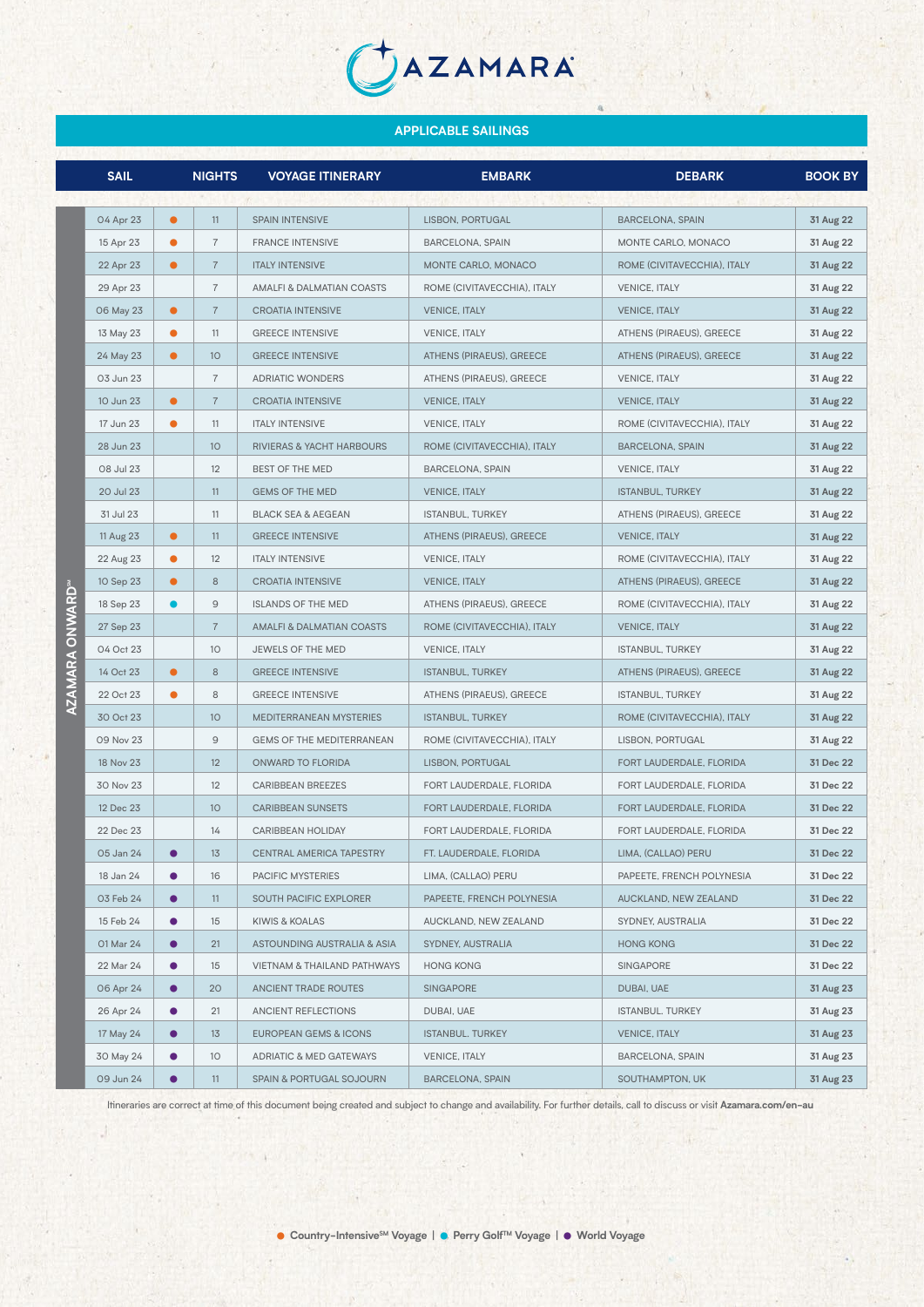AZAMARA

|  | <b>SAIL</b> |           | <b>NIGHTS</b>  | <b>VOYAGE ITINERARY</b>       | <b>EMBARK</b>               | <b>DEBARK</b>               | <b>BOOK BY</b> |
|--|-------------|-----------|----------------|-------------------------------|-----------------------------|-----------------------------|----------------|
|  |             |           |                |                               |                             |                             |                |
|  | 04 Apr 23   | $\bullet$ | 11             | <b>SPAIN INTENSIVE</b>        | LISBON, PORTUGAL            | <b>BARCELONA, SPAIN</b>     | 31 Aug 22      |
|  | 15 Apr 23   | $\bullet$ | $\overline{7}$ | <b>FRANCE INTENSIVE</b>       | BARCELONA, SPAIN            | MONTE CARLO, MONACO         | 31 Aug 22      |
|  | 22 Apr 23   | $\bullet$ | $\overline{7}$ | <b>ITALY INTENSIVE</b>        | MONTE CARLO, MONACO         | ROME (CIVITAVECCHIA), ITALY | 31 Aug 22      |
|  | 29 Apr 23   |           | $\overline{7}$ | AMALFI & DALMATIAN COASTS     | ROME (CIVITAVECCHIA), ITALY | <b>VENICE, ITALY</b>        | 31 Aug 22      |
|  | 06 May 23   | $\bullet$ | $\overline{7}$ | <b>CROATIA INTENSIVE</b>      | <b>VENICE, ITALY</b>        | <b>VENICE, ITALY</b>        | 31 Aug 22      |
|  | 13 May 23   | $\bullet$ | 11             | <b>GREECE INTENSIVE</b>       | <b>VENICE, ITALY</b>        | ATHENS (PIRAEUS), GREECE    | 31 Aug 22      |
|  | 24 May 23   | $\bullet$ | 10             | <b>GREECE INTENSIVE</b>       | ATHENS (PIRAEUS), GREECE    | ATHENS (PIRAEUS), GREECE    | 31 Aug 22      |
|  | 03 Jun 23   |           | 7              | <b>ADRIATIC WONDERS</b>       | ATHENS (PIRAEUS), GREECE    | <b>VENICE, ITALY</b>        | 31 Aug 22      |
|  | 10 Jun 23   | $\bullet$ | $\overline{7}$ | <b>CROATIA INTENSIVE</b>      | <b>VENICE, ITALY</b>        | <b>VENICE, ITALY</b>        | 31 Aug 22      |
|  | 17 Jun 23   | $\bullet$ | 11             | <b>ITALY INTENSIVE</b>        | <b>VENICE, ITALY</b>        | ROME (CIVITAVECCHIA), ITALY | 31 Aug 22      |
|  | 28 Jun 23   |           | 10             | RIVIERAS & YACHT HARBOURS     | ROME (CIVITAVECCHIA), ITALY | <b>BARCELONA, SPAIN</b>     | 31 Aug 22      |
|  | 08 Jul 23   |           | 12             | BEST OF THE MED               | <b>BARCELONA, SPAIN</b>     | <b>VENICE, ITALY</b>        | 31 Aug 22      |
|  | 20 Jul 23   |           | 11             | <b>GEMS OF THE MED</b>        | <b>VENICE, ITALY</b>        | <b>ISTANBUL, TURKEY</b>     | 31 Aug 22      |
|  | 31 Jul 23   |           | 11             | <b>BLACK SEA &amp; AEGEAN</b> | ISTANBUL, TURKEY            | ATHENS (PIRAEUS), GREECE    | 31 Aug 22      |
|  | 11 Aug 23   | $\bullet$ | 11             | <b>GREECE INTENSIVE</b>       | ATHENS (PIRAEUS), GREECE    | <b>VENICE, ITALY</b>        | 31 Aug 22      |
|  | 22 Aug 23   | $\bullet$ | 12             | <b>ITALY INTENSIVE</b>        | <b>VENICE, ITALY</b>        | ROME (CIVITAVECCHIA), ITALY | 31 Aug 22      |
|  | 10 Sep 23   | $\bullet$ | 8              | <b>CROATIA INTENSIVE</b>      | <b>VENICE, ITALY</b>        | ATHENS (PIRAEUS), GREECE    | 31 Aug 22      |
|  | 18 Sep 23   | $\bullet$ | 9              | <b>ISLANDS OF THE MED</b>     | ATHENS (PIRAEUS), GREECE    | ROME (CIVITAVECCHIA), ITALY | 31 Aug 22      |
|  | 27 Sep 23   |           | $\overline{7}$ | AMALFI & DALMATIAN COASTS     | ROME (CIVITAVECCHIA), ITALY | <b>VENICE, ITALY</b>        | 31 Aug 22      |
|  | 04 Oct 23   |           | 10             | JEWELS OF THE MED             | <b>VENICE, ITALY</b>        | <b>ISTANBUL, TURKEY</b>     | 31 Aug 22      |
|  | 14 Oct 23   | $\bullet$ | 8              | <b>GREECE INTENSIVE</b>       | <b>ISTANBUL, TURKEY</b>     | ATHENS (PIRAEUS), GREECE    | 31 Aug 22      |
|  | 22 Oct 23   | $\bullet$ | 8              | <b>GREECE INTENSIVE</b>       | ATHENS (PIRAEUS), GREECE    | <b>ISTANBUL, TURKEY</b>     | 31 Aug 22      |
|  | 30 Oct 23   |           | 10             | MEDITERRANEAN MYSTERIES       | <b>ISTANBUL, TURKEY</b>     | ROME (CIVITAVECCHIA), ITALY | 31 Aug 22      |
|  | 09 Nov 23   |           | 9              | GEMS OF THE MEDITERRANEAN     | ROME (CIVITAVECCHIA), ITALY | LISBON, PORTUGAL            | 31 Aug 22      |
|  | 18 Nov 23   |           | 12             | ONWARD TO FLORIDA             | LISBON, PORTUGAL            | FORT LAUDERDALE, FLORIDA    | 31 Dec 22      |
|  | 30 Nov 23   |           | 12             | <b>CARIBBEAN BREEZES</b>      | FORT LAUDERDALE, FLORIDA    | FORT LAUDERDALE, FLORIDA    | 31 Dec 22      |
|  | 12 Dec 23   |           | 10             | <b>CARIBBEAN SUNSETS</b>      | FORT LAUDERDALE, FLORIDA    | FORT LAUDERDALE, FLORIDA    | 31 Dec 22      |
|  | 22 Dec 23   |           | 14             | CARIBBEAN HOLIDAY             | FORT LAUDERDALE, FLORIDA    | FORT LAUDERDALE, FLORIDA    | 31 Dec 22      |
|  | 05 Jan 24   |           | 13             | CENTRAL AMERICA TAPESTRY      | FT. LAUDERDALE, FLORIDA     | LIMA, (CALLAO) PERU         | 31 Dec 22      |
|  | 18 Jan 24   |           | 16             | PACIFIC MYSTERIES             | LIMA, (CALLAO) PERU         | PAPEETE, FRENCH POLYNESIA   | 31 Dec 22      |
|  | 03 Feb 24   | $\bullet$ | 11             | SOUTH PACIFIC EXPLORER        | PAPEETE, FRENCH POLYNESIA   | AUCKLAND, NEW ZEALAND       | 31 Dec 22      |
|  | 15 Feb 24   | $\bullet$ | 15             | KIWIS & KOALAS                | AUCKLAND, NEW ZEALAND       | SYDNEY, AUSTRALIA           | 31 Dec 22      |
|  | 01 Mar 24   | $\bullet$ | 21             | ASTOUNDING AUSTRALIA & ASIA   | SYDNEY, AUSTRALIA           | <b>HONG KONG</b>            | 31 Dec 22      |
|  | 22 Mar 24   | $\bullet$ | 15             | VIETNAM & THAILAND PATHWAYS   | <b>HONG KONG</b>            | <b>SINGAPORE</b>            | 31 Dec 22      |
|  | 06 Apr 24   | $\bullet$ | 20             | ANCIENT TRADE ROUTES          | <b>SINGAPORE</b>            | DUBAI, UAE                  | 31 Aug 23      |
|  | 26 Apr 24   | $\bullet$ | 21             | ANCIENT REFLECTIONS           | DUBAI, UAE                  | <b>ISTANBUL. TURKEY</b>     | 31 Aug 23      |
|  | 17 May 24   | $\bullet$ | 13             | EUROPEAN GEMS & ICONS         | <b>ISTANBUL. TURKEY</b>     | <b>VENICE, ITALY</b>        | 31 Aug 23      |
|  | 30 May 24   | $\bullet$ | 10             | ADRIATIC & MED GATEWAYS       | <b>VENICE, ITALY</b>        | BARCELONA, SPAIN            | 31 Aug 23      |
|  | 09 Jun 24   | $\bullet$ | 11             | SPAIN & PORTUGAL SOJOURN      | BARCELONA, SPAIN            | SOUTHAMPTON, UK             | 31 Aug 23      |
|  |             |           |                |                               |                             |                             |                |

Itineraries are correct at time of this document being created and subject to change and availability. For further details, call to discuss or visit **Azamara.com/en-au**

**AZAMARA ONWARDSM**